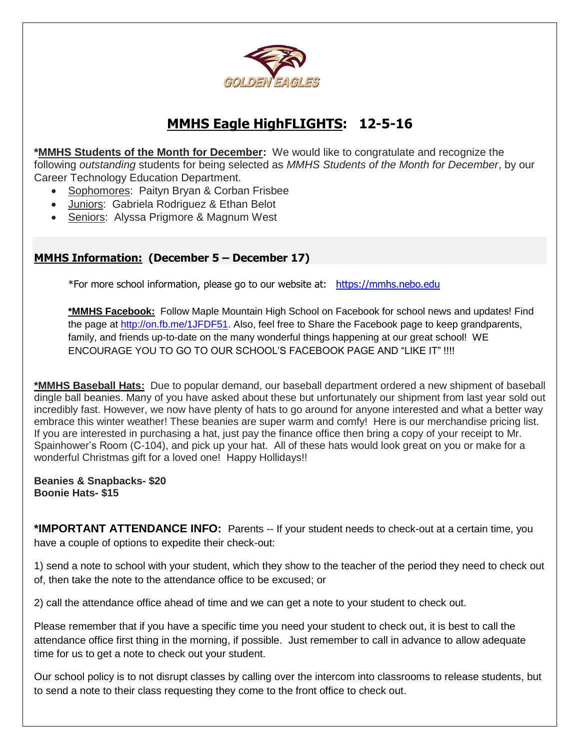

## **MMHS Eagle HighFLIGHTS: 12-5-16**

**\*MMHS Students of the Month for December:** We would like to congratulate and recognize the following *outstanding* students for being selected as *MMHS Students of the Month for December*, by our Career Technology Education Department.

- Sophomores: Paityn Bryan & Corban Frisbee
- Juniors: Gabriela Rodriguez & Ethan Belot
- Seniors: Alyssa Prigmore & Magnum West

## **MMHS Information: (December 5 – December 17)**

\*For more school information, please go to our website at: [https://mmhs.nebo.edu](https://mmhs.nebo.edu/)

**\*MMHS Facebook:** Follow Maple Mountain High School on Facebook for school news and updates! Find the page at [http://on.fb.me/1JFDF51.](http://on.fb.me/1JFDF51) Also, feel free to Share the Facebook page to keep grandparents, family, and friends up-to-date on the many wonderful things happening at our great school! WE ENCOURAGE YOU TO GO TO OUR SCHOOL'S FACEBOOK PAGE AND "LIKE IT" !!!!

**\*MMHS Baseball Hats:** Due to popular demand, our baseball department ordered a new shipment of baseball dingle ball beanies. Many of you have asked about these but unfortunately our shipment from last year sold out incredibly fast. However, we now have plenty of hats to go around for anyone interested and what a better way embrace this winter weather! These beanies are super warm and comfy! Here is our merchandise pricing list. If you are interested in purchasing a hat, just pay the finance office then bring a copy of your receipt to Mr. Spainhower's Room (C-104), and pick up your hat. All of these hats would look great on you or make for a wonderful Christmas gift for a loved one! Happy Hollidays!!

**Beanies & Snapbacks- \$20 Boonie Hats- \$15**

**\*IMPORTANT ATTENDANCE INFO:** Parents -- If your student needs to check-out at a certain time, you have a couple of options to expedite their check-out:

1) send a note to school with your student, which they show to the teacher of the period they need to check out of, then take the note to the attendance office to be excused; or

2) call the attendance office ahead of time and we can get a note to your student to check out.

Please remember that if you have a specific time you need your student to check out, it is best to call the attendance office first thing in the morning, if possible. Just remember to call in advance to allow adequate time for us to get a note to check out your student.

Our school policy is to not disrupt classes by calling over the intercom into classrooms to release students, but to send a note to their class requesting they come to the front office to check out.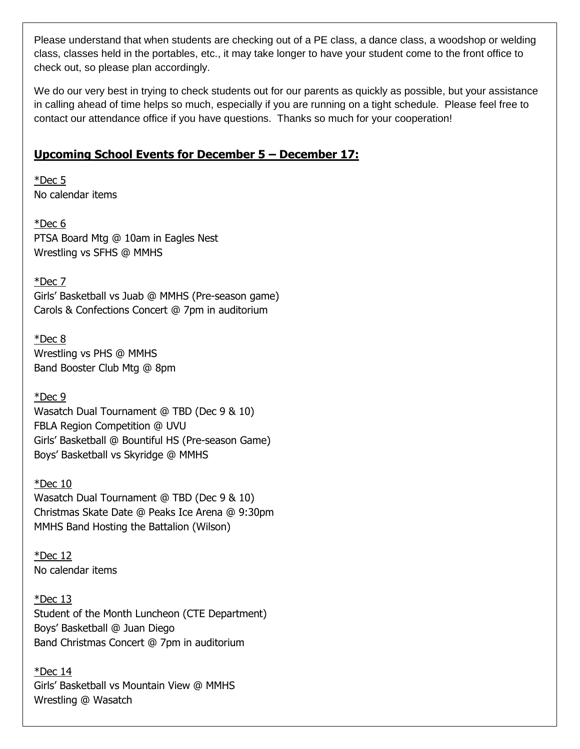Please understand that when students are checking out of a PE class, a dance class, a woodshop or welding class, classes held in the portables, etc., it may take longer to have your student come to the front office to check out, so please plan accordingly.

We do our very best in trying to check students out for our parents as quickly as possible, but your assistance in calling ahead of time helps so much, especially if you are running on a tight schedule. Please feel free to contact our attendance office if you have questions. Thanks so much for your cooperation!

## **Upcoming School Events for December 5 – December 17:**

\*Dec 5 No calendar items

\*Dec 6 PTSA Board Mtg @ 10am in Eagles Nest Wrestling vs SFHS @ MMHS

\*Dec 7

Girls' Basketball vs Juab @ MMHS (Pre-season game) Carols & Confections Concert @ 7pm in auditorium

\*Dec 8 Wrestling vs PHS @ MMHS Band Booster Club Mtg @ 8pm

\*Dec 9 Wasatch Dual Tournament @ TBD (Dec 9 & 10) FBLA Region Competition @ UVU Girls' Basketball @ Bountiful HS (Pre-season Game) Boys' Basketball vs Skyridge @ MMHS

\*Dec 10 Wasatch Dual Tournament @ TBD (Dec 9 & 10) Christmas Skate Date @ Peaks Ice Arena @ 9:30pm MMHS Band Hosting the Battalion (Wilson)

 $*$ Dec 12 No calendar items

 $*$ Dec 13 Student of the Month Luncheon (CTE Department) Boys' Basketball @ Juan Diego Band Christmas Concert @ 7pm in auditorium

 $*$ Dec 14 Girls' Basketball vs Mountain View @ MMHS Wrestling @ Wasatch